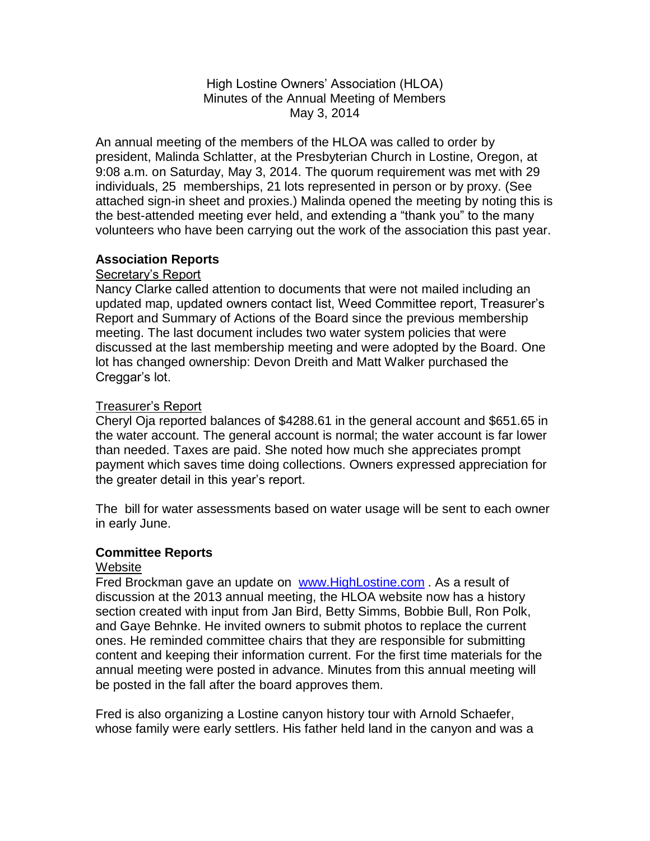High Lostine Owners' Association (HLOA) Minutes of the Annual Meeting of Members May 3, 2014

An annual meeting of the members of the HLOA was called to order by president, Malinda Schlatter, at the Presbyterian Church in Lostine, Oregon, at 9:08 a.m. on Saturday, May 3, 2014. The quorum requirement was met with 29 individuals, 25 memberships, 21 lots represented in person or by proxy. (See attached sign-in sheet and proxies.) Malinda opened the meeting by noting this is the best-attended meeting ever held, and extending a "thank you" to the many volunteers who have been carrying out the work of the association this past year.

### **Association Reports**

## Secretary's Report

Nancy Clarke called attention to documents that were not mailed including an updated map, updated owners contact list, Weed Committee report, Treasurer's Report and Summary of Actions of the Board since the previous membership meeting. The last document includes two water system policies that were discussed at the last membership meeting and were adopted by the Board. One lot has changed ownership: Devon Dreith and Matt Walker purchased the Creggar's lot.

### Treasurer's Report

Cheryl Oja reported balances of \$4288.61 in the general account and \$651.65 in the water account. The general account is normal; the water account is far lower than needed. Taxes are paid. She noted how much she appreciates prompt payment which saves time doing collections. Owners expressed appreciation for the greater detail in this year's report.

The bill for water assessments based on water usage will be sent to each owner in early June.

### **Committee Reports**

#### **Website**

Fred Brockman gave an update on [www.HighLostine.com](http://www.highlostine.com/). As a result of discussion at the 2013 annual meeting, the HLOA website now has a history section created with input from Jan Bird, Betty Simms, Bobbie Bull, Ron Polk, and Gaye Behnke. He invited owners to submit photos to replace the current ones. He reminded committee chairs that they are responsible for submitting content and keeping their information current. For the first time materials for the annual meeting were posted in advance. Minutes from this annual meeting will be posted in the fall after the board approves them.

Fred is also organizing a Lostine canyon history tour with Arnold Schaefer, whose family were early settlers. His father held land in the canyon and was a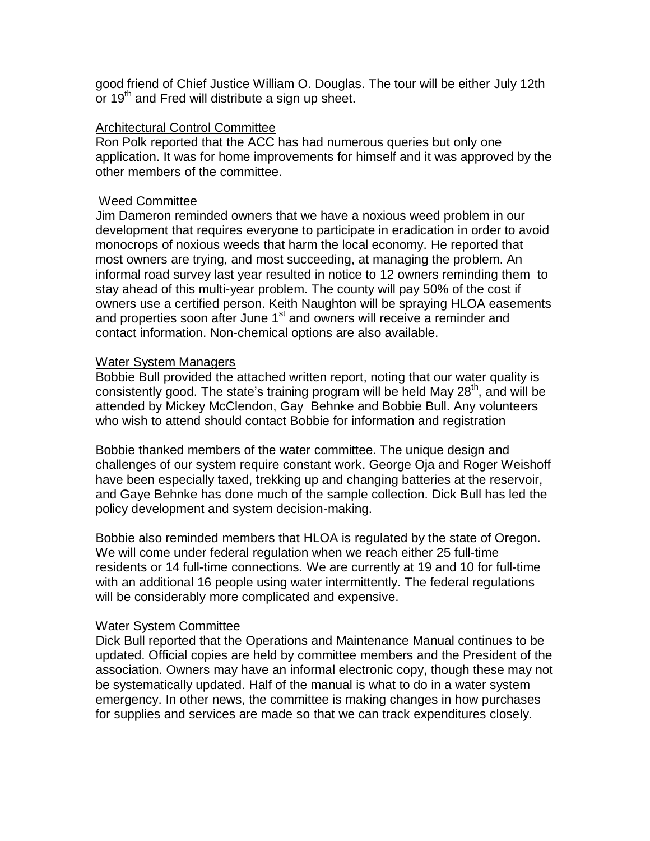good friend of Chief Justice William O. Douglas. The tour will be either July 12th or 19<sup>th</sup> and Fred will distribute a sign up sheet.

# Architectural Control Committee

Ron Polk reported that the ACC has had numerous queries but only one application. It was for home improvements for himself and it was approved by the other members of the committee.

#### Weed Committee

Jim Dameron reminded owners that we have a noxious weed problem in our development that requires everyone to participate in eradication in order to avoid monocrops of noxious weeds that harm the local economy. He reported that most owners are trying, and most succeeding, at managing the problem. An informal road survey last year resulted in notice to 12 owners reminding them to stay ahead of this multi-year problem. The county will pay 50% of the cost if owners use a certified person. Keith Naughton will be spraying HLOA easements and properties soon after June  $1<sup>st</sup>$  and owners will receive a reminder and contact information. Non-chemical options are also available.

#### Water System Managers

Bobbie Bull provided the attached written report, noting that our water quality is consistently good. The state's training program will be held May 28<sup>th</sup>, and will be attended by Mickey McClendon, Gay Behnke and Bobbie Bull. Any volunteers who wish to attend should contact Bobbie for information and registration

Bobbie thanked members of the water committee. The unique design and challenges of our system require constant work. George Oja and Roger Weishoff have been especially taxed, trekking up and changing batteries at the reservoir, and Gaye Behnke has done much of the sample collection. Dick Bull has led the policy development and system decision-making.

Bobbie also reminded members that HLOA is regulated by the state of Oregon. We will come under federal regulation when we reach either 25 full-time residents or 14 full-time connections. We are currently at 19 and 10 for full-time with an additional 16 people using water intermittently. The federal regulations will be considerably more complicated and expensive.

#### Water System Committee

Dick Bull reported that the Operations and Maintenance Manual continues to be updated. Official copies are held by committee members and the President of the association. Owners may have an informal electronic copy, though these may not be systematically updated. Half of the manual is what to do in a water system emergency. In other news, the committee is making changes in how purchases for supplies and services are made so that we can track expenditures closely.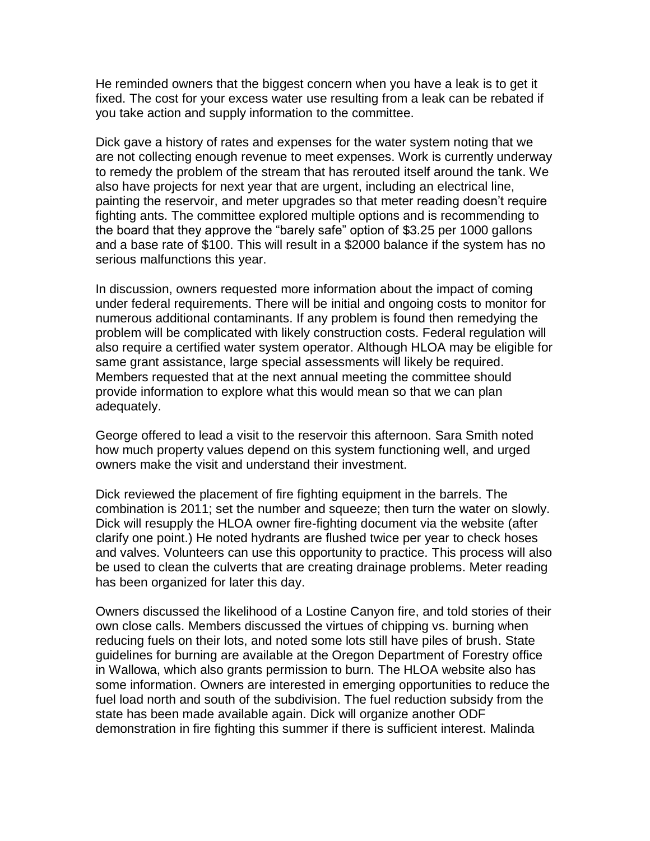He reminded owners that the biggest concern when you have a leak is to get it fixed. The cost for your excess water use resulting from a leak can be rebated if you take action and supply information to the committee.

Dick gave a history of rates and expenses for the water system noting that we are not collecting enough revenue to meet expenses. Work is currently underway to remedy the problem of the stream that has rerouted itself around the tank. We also have projects for next year that are urgent, including an electrical line, painting the reservoir, and meter upgrades so that meter reading doesn't require fighting ants. The committee explored multiple options and is recommending to the board that they approve the "barely safe" option of \$3.25 per 1000 gallons and a base rate of \$100. This will result in a \$2000 balance if the system has no serious malfunctions this year.

In discussion, owners requested more information about the impact of coming under federal requirements. There will be initial and ongoing costs to monitor for numerous additional contaminants. If any problem is found then remedying the problem will be complicated with likely construction costs. Federal regulation will also require a certified water system operator. Although HLOA may be eligible for same grant assistance, large special assessments will likely be required. Members requested that at the next annual meeting the committee should provide information to explore what this would mean so that we can plan adequately.

George offered to lead a visit to the reservoir this afternoon. Sara Smith noted how much property values depend on this system functioning well, and urged owners make the visit and understand their investment.

Dick reviewed the placement of fire fighting equipment in the barrels. The combination is 2011; set the number and squeeze; then turn the water on slowly. Dick will resupply the HLOA owner fire-fighting document via the website (after clarify one point.) He noted hydrants are flushed twice per year to check hoses and valves. Volunteers can use this opportunity to practice. This process will also be used to clean the culverts that are creating drainage problems. Meter reading has been organized for later this day.

Owners discussed the likelihood of a Lostine Canyon fire, and told stories of their own close calls. Members discussed the virtues of chipping vs. burning when reducing fuels on their lots, and noted some lots still have piles of brush. State guidelines for burning are available at the Oregon Department of Forestry office in Wallowa, which also grants permission to burn. The HLOA website also has some information. Owners are interested in emerging opportunities to reduce the fuel load north and south of the subdivision. The fuel reduction subsidy from the state has been made available again. Dick will organize another ODF demonstration in fire fighting this summer if there is sufficient interest. Malinda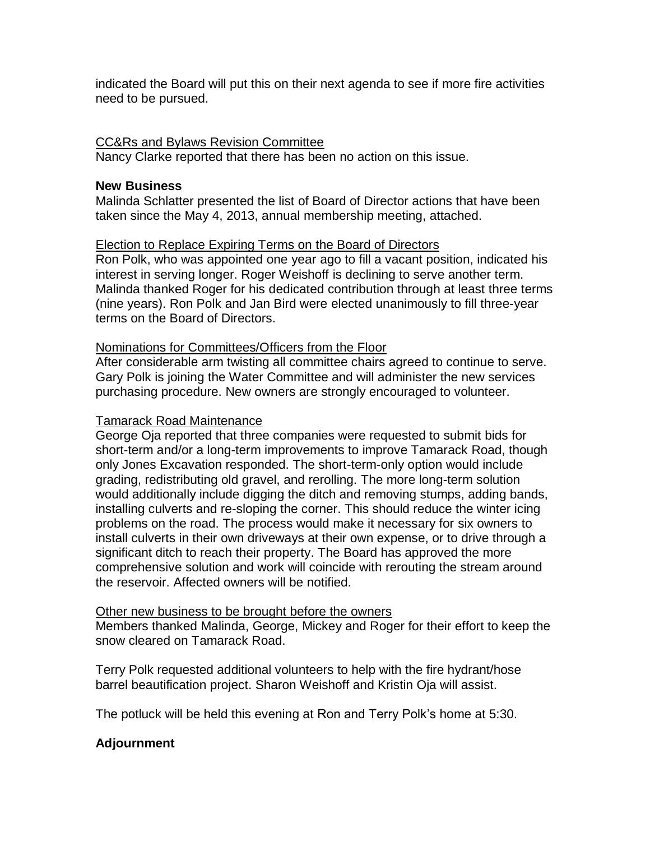indicated the Board will put this on their next agenda to see if more fire activities need to be pursued.

### CC&Rs and Bylaws Revision Committee

Nancy Clarke reported that there has been no action on this issue.

#### **New Business**

Malinda Schlatter presented the list of Board of Director actions that have been taken since the May 4, 2013, annual membership meeting, attached.

#### Election to Replace Expiring Terms on the Board of Directors

Ron Polk, who was appointed one year ago to fill a vacant position, indicated his interest in serving longer. Roger Weishoff is declining to serve another term. Malinda thanked Roger for his dedicated contribution through at least three terms (nine years). Ron Polk and Jan Bird were elected unanimously to fill three-year terms on the Board of Directors.

#### Nominations for Committees/Officers from the Floor

After considerable arm twisting all committee chairs agreed to continue to serve. Gary Polk is joining the Water Committee and will administer the new services purchasing procedure. New owners are strongly encouraged to volunteer.

#### Tamarack Road Maintenance

George Oja reported that three companies were requested to submit bids for short-term and/or a long-term improvements to improve Tamarack Road, though only Jones Excavation responded. The short-term-only option would include grading, redistributing old gravel, and rerolling. The more long-term solution would additionally include digging the ditch and removing stumps, adding bands, installing culverts and re-sloping the corner. This should reduce the winter icing problems on the road. The process would make it necessary for six owners to install culverts in their own driveways at their own expense, or to drive through a significant ditch to reach their property. The Board has approved the more comprehensive solution and work will coincide with rerouting the stream around the reservoir. Affected owners will be notified.

#### Other new business to be brought before the owners

Members thanked Malinda, George, Mickey and Roger for their effort to keep the snow cleared on Tamarack Road.

Terry Polk requested additional volunteers to help with the fire hydrant/hose barrel beautification project. Sharon Weishoff and Kristin Oja will assist.

The potluck will be held this evening at Ron and Terry Polk's home at 5:30.

### **Adjournment**